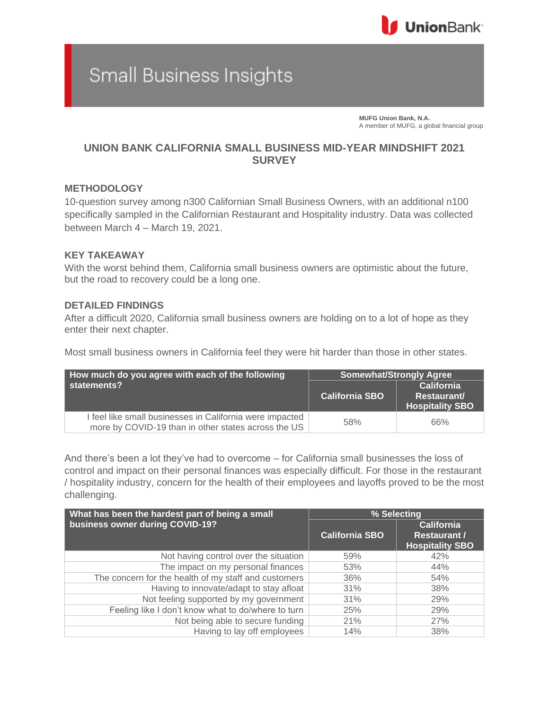

# **Small Business Insights**

**MUFG Union Bank, N.A.** A member of MUFG, a global financial group

## **UNION BANK CALIFORNIA SMALL BUSINESS MID-YEAR MINDSHIFT 2021 SURVEY**

### **METHODOLOGY**

10-question survey among n300 Californian Small Business Owners, with an additional n100 specifically sampled in the Californian Restaurant and Hospitality industry. Data was collected between March 4 – March 19, 2021.

#### **KEY TAKEAWAY**

With the worst behind them, California small business owners are optimistic about the future, but the road to recovery could be a long one.

### **DETAILED FINDINGS**

After a difficult 2020, California small business owners are holding on to a lot of hope as they enter their next chapter.

Most small business owners in California feel they were hit harder than those in other states.

| How much do you agree with each of the following                                                                | <b>Somewhat/Strongly Agree</b> |                                                            |
|-----------------------------------------------------------------------------------------------------------------|--------------------------------|------------------------------------------------------------|
| statements?                                                                                                     | <b>California SBO</b>          | <b>California</b><br>Restaurant/<br><b>Hospitality SBO</b> |
| I feel like small businesses in California were impacted<br>more by COVID-19 than in other states across the US | 58%                            | 66%                                                        |

And there's been a lot they've had to overcome – for California small businesses the loss of control and impact on their personal finances was especially difficult. For those in the restaurant / hospitality industry, concern for the health of their employees and layoffs proved to be the most challenging.

| What has been the hardest part of being a small      | % Selecting           |                                          |
|------------------------------------------------------|-----------------------|------------------------------------------|
| business owner during COVID-19?                      | <b>California SBO</b> | <b>California</b><br><b>Restaurant /</b> |
|                                                      |                       | <b>Hospitality SBO</b>                   |
| Not having control over the situation                | 59%                   | 42%                                      |
| The impact on my personal finances                   | 53%                   | 44%                                      |
| The concern for the health of my staff and customers | 36%                   | 54%                                      |
| Having to innovate/adapt to stay afloat              | 31%                   | 38%                                      |
| Not feeling supported by my government               | 31%                   | 29%                                      |
| Feeling like I don't know what to do/where to turn   | 25%                   | 29%                                      |
| Not being able to secure funding                     | 21%                   | 27%                                      |
| Having to lay off employees                          | 14%                   | 38%                                      |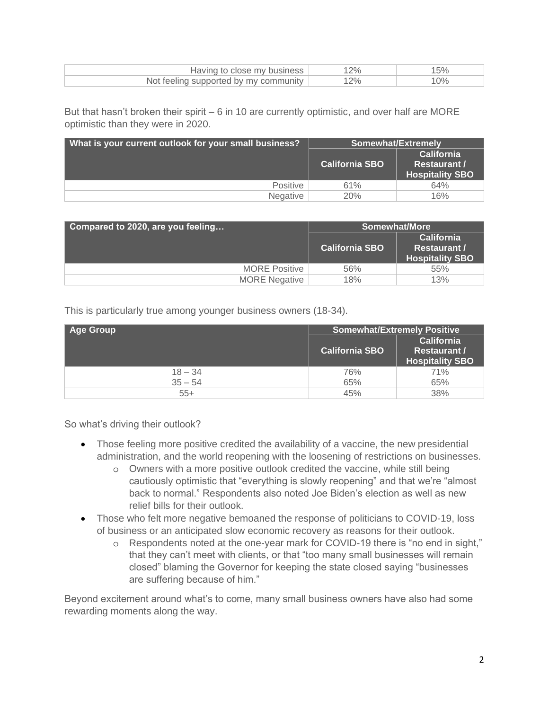| Having to close my business           |  |
|---------------------------------------|--|
| Not feeling supported by my community |  |

But that hasn't broken their spirit – 6 in 10 are currently optimistic, and over half are MORE optimistic than they were in 2020.

| What is your current outlook for your small business? | <b>Somewhat/Extremely</b> |                                                                    |
|-------------------------------------------------------|---------------------------|--------------------------------------------------------------------|
|                                                       | <b>California SBO</b>     | <b>California</b><br><b>Restaurant /</b><br><b>Hospitality SBO</b> |
| <b>Positive</b>                                       | 61%                       | 64%                                                                |
| Negative                                              | 20%                       | 16%                                                                |

| Compared to 2020, are you feeling | Somewhat/More         |                                                                    |
|-----------------------------------|-----------------------|--------------------------------------------------------------------|
|                                   | <b>California SBO</b> | <b>California</b><br><b>Restaurant /</b><br><b>Hospitality SBO</b> |
| <b>MORE Positive</b>              | 56%                   | 55%                                                                |
| <b>MORE</b> Negative              | 18%                   | 13%                                                                |

This is particularly true among younger business owners (18-34).

| <b>Age Group</b> | <b>Somewhat/Extremely Positive</b> |                                                                    |
|------------------|------------------------------------|--------------------------------------------------------------------|
|                  | <b>California SBO</b>              | <b>California</b><br><b>Restaurant /</b><br><b>Hospitality SBO</b> |
| $18 - 34$        | 76%                                | 71%                                                                |
| $35 - 54$        | 65%                                | 65%                                                                |
| $55+$            | 45%                                | 38%                                                                |

So what's driving their outlook?

- Those feeling more positive credited the availability of a vaccine, the new presidential administration, and the world reopening with the loosening of restrictions on businesses.
	- o Owners with a more positive outlook credited the vaccine, while still being cautiously optimistic that "everything is slowly reopening" and that we're "almost back to normal." Respondents also noted Joe Biden's election as well as new relief bills for their outlook.
- Those who felt more negative bemoaned the response of politicians to COVID-19, loss of business or an anticipated slow economic recovery as reasons for their outlook.
	- o Respondents noted at the one-year mark for COVID-19 there is "no end in sight," that they can't meet with clients, or that "too many small businesses will remain closed" blaming the Governor for keeping the state closed saying "businesses are suffering because of him."

Beyond excitement around what's to come, many small business owners have also had some rewarding moments along the way.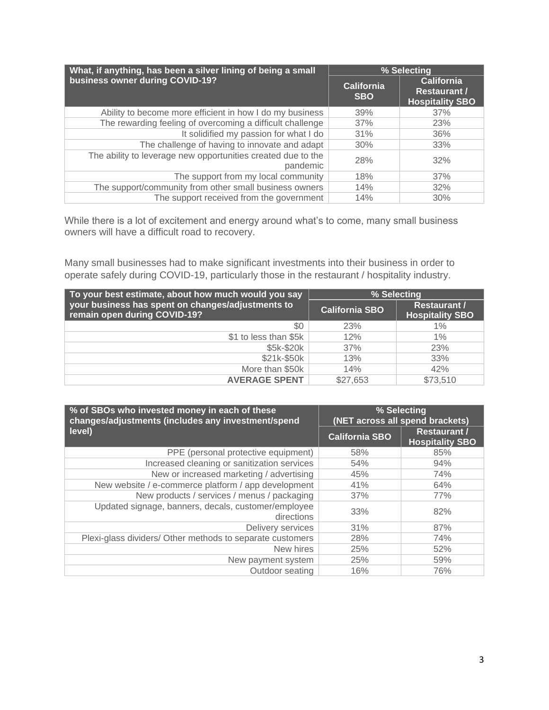| What, if anything, has been a silver lining of being a small             | % Selecting                     |                                                                    |
|--------------------------------------------------------------------------|---------------------------------|--------------------------------------------------------------------|
| business owner during COVID-19?                                          | <b>California</b><br><b>SBO</b> | <b>California</b><br><b>Restaurant /</b><br><b>Hospitality SBO</b> |
| Ability to become more efficient in how I do my business                 | 39%                             | 37%                                                                |
| The rewarding feeling of overcoming a difficult challenge                | 37%                             | 23%                                                                |
| It solidified my passion for what I do                                   | 31%                             | 36%                                                                |
| The challenge of having to innovate and adapt                            | 30%                             | 33%                                                                |
| The ability to leverage new opportunities created due to the<br>pandemic | 28%                             | 32%                                                                |
| The support from my local community                                      | 18%                             | 37%                                                                |
| The support/community from other small business owners                   | 14%                             | 32%                                                                |
| The support received from the government                                 | 14%                             | 30%                                                                |

While there is a lot of excitement and energy around what's to come, many small business owners will have a difficult road to recovery.

Many small businesses had to make significant investments into their business in order to operate safely during COVID-19, particularly those in the restaurant / hospitality industry.

| To your best estimate, about how much would you say                               | % Selecting           |                                               |
|-----------------------------------------------------------------------------------|-----------------------|-----------------------------------------------|
| your business has spent on changes/adjustments to<br>remain open during COVID-19? | <b>California SBO</b> | <b>Restaurant /</b><br><b>Hospitality SBO</b> |
| \$0                                                                               | 23%                   | $1\%$                                         |
| \$1 to less than \$5k                                                             | 12%                   | $1\%$                                         |
| \$5k-\$20k                                                                        | 37%                   | 23%                                           |
| \$21k-\$50k                                                                       | 13%                   | 33%                                           |
| More than \$50k                                                                   | 14%                   | 42%                                           |
| <b>AVERAGE SPENT</b>                                                              | \$27,653              | \$73,510                                      |

| % of SBOs who invested money in each of these<br>changes/adjustments (includes any investment/spend | % Selecting<br>(NET across all spend brackets) |                                               |
|-----------------------------------------------------------------------------------------------------|------------------------------------------------|-----------------------------------------------|
| level)                                                                                              | <b>California SBO</b>                          | <b>Restaurant /</b><br><b>Hospitality SBO</b> |
| PPE (personal protective equipment)                                                                 | 58%                                            | 85%                                           |
| Increased cleaning or sanitization services                                                         | 54%                                            | 94%                                           |
| New or increased marketing / advertising                                                            | 45%                                            | 74%                                           |
| New website / e-commerce platform / app development                                                 | 41%                                            | 64%                                           |
| New products / services / menus / packaging                                                         | 37%                                            | 77%                                           |
| Updated signage, banners, decals, customer/employee<br>directions                                   | 33%                                            | 82%                                           |
| Delivery services                                                                                   | 31%                                            | 87%                                           |
| Plexi-glass dividers/ Other methods to separate customers                                           | 28%                                            | 74%                                           |
| New hires                                                                                           | 25%                                            | 52%                                           |
| New payment system                                                                                  | 25%                                            | 59%                                           |
| Outdoor seating                                                                                     | 16%                                            | 76%                                           |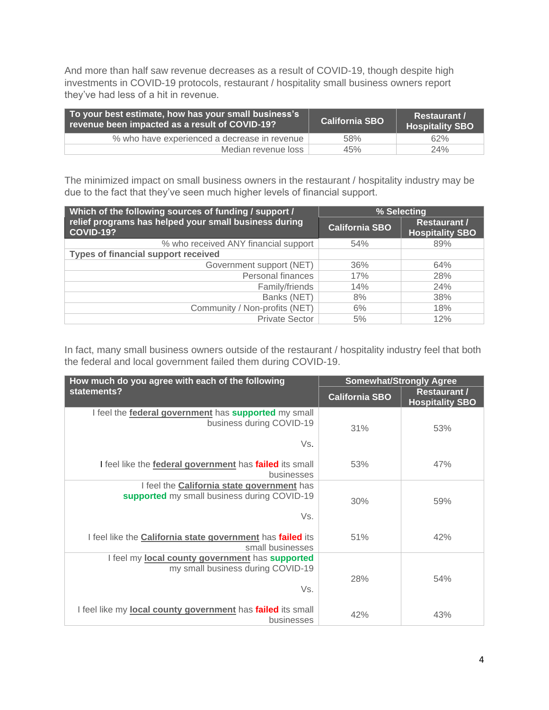And more than half saw revenue decreases as a result of COVID-19, though despite high investments in COVID-19 protocols, restaurant / hospitality small business owners report they've had less of a hit in revenue.

| To your best estimate, how has your small business's<br>revenue been impacted as a result of COVID-19? | <b>California SBO</b> | <b>Restaurant /</b><br><b>Hospitality SBO</b> |
|--------------------------------------------------------------------------------------------------------|-----------------------|-----------------------------------------------|
| % who have experienced a decrease in revenue                                                           | 58%                   | 62%                                           |
| Median revenue loss                                                                                    | 45%                   | 24%                                           |

The minimized impact on small business owners in the restaurant / hospitality industry may be due to the fact that they've seen much higher levels of financial support.

| Which of the following sources of funding / support /                     | % Selecting           |                                               |
|---------------------------------------------------------------------------|-----------------------|-----------------------------------------------|
| relief programs has helped your small business during<br><b>COVID-19?</b> | <b>California SBO</b> | <b>Restaurant /</b><br><b>Hospitality SBO</b> |
| % who received ANY financial support                                      | 54%                   | 89%                                           |
| <b>Types of financial support received</b>                                |                       |                                               |
| Government support (NET)                                                  | 36%                   | 64%                                           |
| Personal finances                                                         | 17%                   | 28%                                           |
| Family/friends                                                            | 14%                   | 24%                                           |
| Banks (NET)                                                               | 8%                    | 38%                                           |
| Community / Non-profits (NET)                                             | 6%                    | 18%                                           |
| <b>Private Sector</b>                                                     | 5%                    | 12%                                           |

In fact, many small business owners outside of the restaurant / hospitality industry feel that both the federal and local government failed them during COVID-19.

| How much do you agree with each of the following                                                      | <b>Somewhat/Strongly Agree</b> |                                               |
|-------------------------------------------------------------------------------------------------------|--------------------------------|-----------------------------------------------|
| statements?                                                                                           | <b>California SBO</b>          | <b>Restaurant /</b><br><b>Hospitality SBO</b> |
| I feel the <b>federal government</b> has <b>supported</b> my small<br>business during COVID-19<br>Vs. | 31%                            | 53%                                           |
| I feel like the <b>federal government</b> has <b>failed</b> its small                                 | 53%                            | 47%                                           |
| businesses<br>I feel the <b>California state government</b> has                                       |                                |                                               |
| supported my small business during COVID-19                                                           | 30%                            | 59%                                           |
| Vs.                                                                                                   |                                |                                               |
| I feel like the California state government has failed its<br>small businesses                        | 51%                            | 42%                                           |
| I feel my local county government has supported<br>my small business during COVID-19                  |                                |                                               |
| Vs.                                                                                                   | 28%                            | 54%                                           |
| I feel like my local county government has failed its small<br>businesses                             | 42%                            | 43%                                           |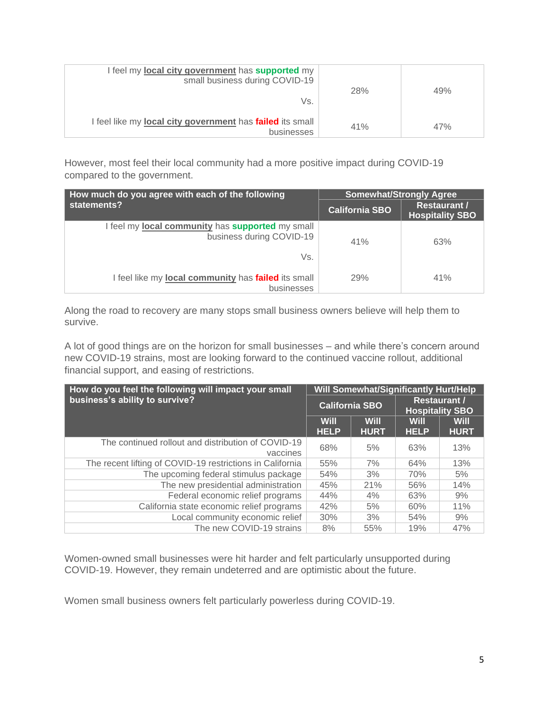| I feel my local city government has supported my<br>small business during COVID-19<br>Vs. | 28% | 49% |
|-------------------------------------------------------------------------------------------|-----|-----|
| I feel like my <b>local city government</b> has <b>failed</b> its small<br>businesses     | 41% | 47% |

However, most feel their local community had a more positive impact during COVID-19 compared to the government.

| How much do you agree with each of the following                                           | <b>Somewhat/Strongly Agree</b> |                                               |
|--------------------------------------------------------------------------------------------|--------------------------------|-----------------------------------------------|
| statements?                                                                                | <b>California SBO</b>          | <b>Restaurant /</b><br><b>Hospitality SBO</b> |
| I feel my <b>local community</b> has <b>supported</b> my small<br>business during COVID-19 | 41%                            | 63%                                           |
| Vs.                                                                                        |                                |                                               |
| I feel like my local community has failed its small<br>businesses                          | 29%                            | 41%                                           |

Along the road to recovery are many stops small business owners believe will help them to survive.

A lot of good things are on the horizon for small businesses – and while there's concern around new COVID-19 strains, most are looking forward to the continued vaccine rollout, additional financial support, and easing of restrictions.

| How do you feel the following will impact your small           |                            |                            | <b>Will Somewhat/Significantly Hurt/Help</b>  |                            |
|----------------------------------------------------------------|----------------------------|----------------------------|-----------------------------------------------|----------------------------|
| business's ability to survive?                                 | <b>California SBO</b>      |                            | <b>Restaurant /</b><br><b>Hospitality SBO</b> |                            |
|                                                                | <b>Will</b><br><b>HELP</b> | <b>Will</b><br><b>HURT</b> | <b>Will</b><br><b>HELP</b>                    | <b>Will</b><br><b>HURT</b> |
| The continued rollout and distribution of COVID-19<br>vaccines | 68%                        | 5%                         | 63%                                           | 13%                        |
| The recent lifting of COVID-19 restrictions in California      | 55%                        | 7%                         | 64%                                           | 13%                        |
| The upcoming federal stimulus package                          | 54%                        | 3%                         | 70%                                           | 5%                         |
| The new presidential administration                            | 45%                        | 21%                        | 56%                                           | 14%                        |
| Federal economic relief programs                               | 44%                        | 4%                         | 63%                                           | 9%                         |
| California state economic relief programs                      | 42%                        | 5%                         | 60%                                           | 11%                        |
| Local community economic relief                                | 30%                        | 3%                         | 54%                                           | 9%                         |
| The new COVID-19 strains                                       | 8%                         | 55%                        | 19%                                           | 47%                        |

Women-owned small businesses were hit harder and felt particularly unsupported during COVID-19. However, they remain undeterred and are optimistic about the future.

Women small business owners felt particularly powerless during COVID-19.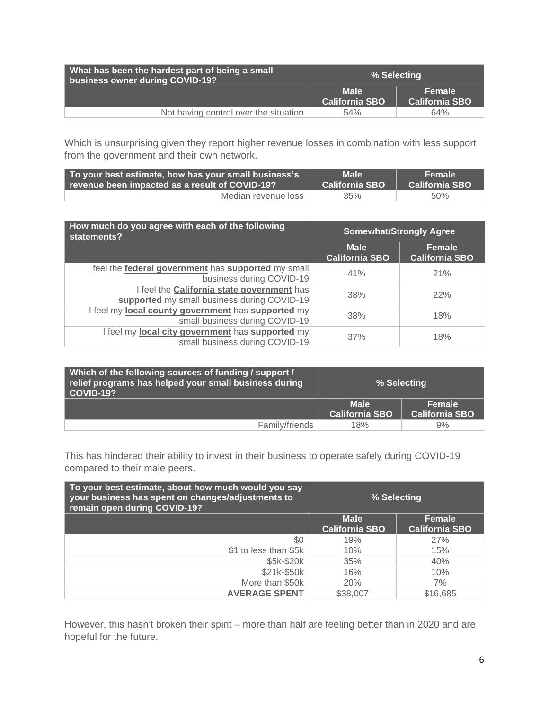| What has been the hardest part of being a small<br>business owner during COVID-19? | % Selecting                          |                                 |
|------------------------------------------------------------------------------------|--------------------------------------|---------------------------------|
|                                                                                    | <b>Male</b><br><b>California SBO</b> | Female<br><b>California SBO</b> |
| Not having control over the situation                                              | 54%                                  | 64%                             |

Which is unsurprising given they report higher revenue losses in combination with less support from the government and their own network.

| To your best estimate, how has your small business's | Male <sup>1</sup>     | N FemaleN             |
|------------------------------------------------------|-----------------------|-----------------------|
| revenue been impacted as a result of COVID-19?       | <b>California SBO</b> | <b>California SBO</b> |
| Median revenue loss                                  | 35%                   | 50%                   |

| How much do you agree with each of the following<br>statements?                           | <b>Somewhat/Strongly Agree</b>       |                                 |
|-------------------------------------------------------------------------------------------|--------------------------------------|---------------------------------|
|                                                                                           | <b>Male</b><br><b>California SBO</b> | Female<br><b>California SBO</b> |
| I feel the federal government has supported my small<br>business during COVID-19          | 41%                                  | 21%                             |
| I feel the California state government has<br>supported my small business during COVID-19 | 38%                                  | 22%                             |
| I feel my local county government has supported my<br>small business during COVID-19      | 38%                                  | 18%                             |
| I feel my <b>local city government</b> has supported my<br>small business during COVID-19 | 37%                                  | 18%                             |

| Which of the following sources of funding / support /<br>relief programs has helped your small business during<br>  COVID-19? | % Selecting                          |                                 |
|-------------------------------------------------------------------------------------------------------------------------------|--------------------------------------|---------------------------------|
|                                                                                                                               | <b>Male</b><br><b>California SBO</b> | Female<br><b>California SBO</b> |
| Family/friends                                                                                                                | 18%                                  | 9%                              |

This has hindered their ability to invest in their business to operate safely during COVID-19 compared to their male peers.

| To your best estimate, about how much would you say<br>your business has spent on changes/adjustments to<br>remain open during COVID-19? | % Selecting           |                       |
|------------------------------------------------------------------------------------------------------------------------------------------|-----------------------|-----------------------|
|                                                                                                                                          | <b>Male</b>           | Female                |
|                                                                                                                                          | <b>California SBO</b> | <b>California SBO</b> |
| \$0                                                                                                                                      | 19%                   | 27%                   |
| \$1 to less than \$5k                                                                                                                    | 10%                   | 15%                   |
| \$5k-\$20k                                                                                                                               | 35%                   | 40%                   |
| \$21k-\$50k                                                                                                                              | 16%                   | 10%                   |
| More than \$50k                                                                                                                          | 20%                   | 7%                    |
| <b>AVERAGE SPENT</b>                                                                                                                     | \$38,007              | \$16,685              |

However, this hasn't broken their spirit – more than half are feeling better than in 2020 and are hopeful for the future.